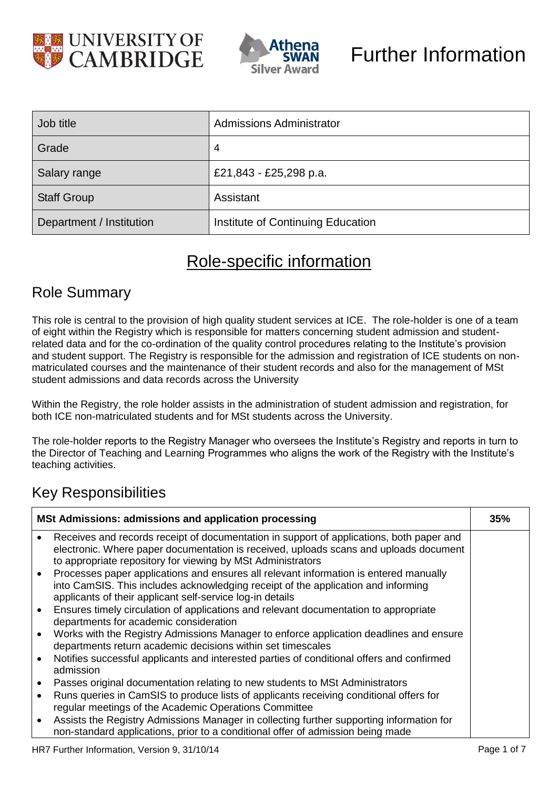



| Job title                | <b>Admissions Administrator</b>   |
|--------------------------|-----------------------------------|
| Grade                    | 4                                 |
| Salary range             | £21,843 - £25,298 p.a.            |
| <b>Staff Group</b>       | Assistant                         |
| Department / Institution | Institute of Continuing Education |

## Role-specific information

### Role Summary

This role is central to the provision of high quality student services at ICE. The role-holder is one of a team of eight within the Registry which is responsible for matters concerning student admission and studentrelated data and for the co-ordination of the quality control procedures relating to the Institute's provision and student support. The Registry is responsible for the admission and registration of ICE students on nonmatriculated courses and the maintenance of their student records and also for the management of MSt student admissions and data records across the University

Within the Registry, the role holder assists in the administration of student admission and registration, for both ICE non-matriculated students and for MSt students across the University.

The role-holder reports to the Registry Manager who oversees the Institute's Registry and reports in turn to the Director of Teaching and Learning Programmes who aligns the work of the Registry with the Institute's teaching activities.

### Key Responsibilities

| <b>MSt Admissions: admissions and application processing</b> |                                                                                                                                                                                                                                                  | 35% |
|--------------------------------------------------------------|--------------------------------------------------------------------------------------------------------------------------------------------------------------------------------------------------------------------------------------------------|-----|
|                                                              | Receives and records receipt of documentation in support of applications, both paper and<br>electronic. Where paper documentation is received, uploads scans and uploads document<br>to appropriate repository for viewing by MSt Administrators |     |
|                                                              | Processes paper applications and ensures all relevant information is entered manually<br>into CamSIS. This includes acknowledging receipt of the application and informing<br>applicants of their applicant self-service log-in details          |     |
|                                                              | Ensures timely circulation of applications and relevant documentation to appropriate<br>departments for academic consideration                                                                                                                   |     |
|                                                              | Works with the Registry Admissions Manager to enforce application deadlines and ensure<br>departments return academic decisions within set timescales                                                                                            |     |
|                                                              | Notifies successful applicants and interested parties of conditional offers and confirmed<br>admission                                                                                                                                           |     |
|                                                              | Passes original documentation relating to new students to MSt Administrators                                                                                                                                                                     |     |
|                                                              | Runs queries in CamSIS to produce lists of applicants receiving conditional offers for<br>regular meetings of the Academic Operations Committee                                                                                                  |     |
|                                                              | Assists the Registry Admissions Manager in collecting further supporting information for<br>non-standard applications, prior to a conditional offer of admission being made                                                                      |     |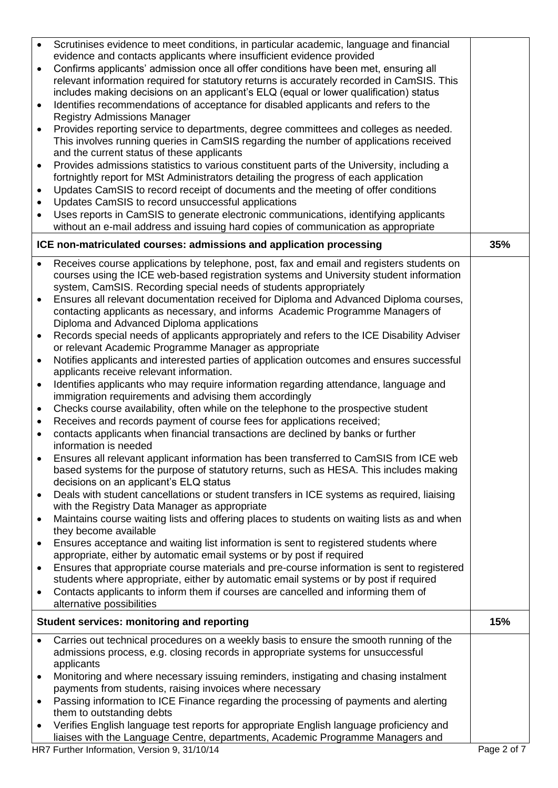| $\bullet$ | Scrutinises evidence to meet conditions, in particular academic, language and financial                                                          |     |
|-----------|--------------------------------------------------------------------------------------------------------------------------------------------------|-----|
|           | evidence and contacts applicants where insufficient evidence provided                                                                            |     |
| $\bullet$ | Confirms applicants' admission once all offer conditions have been met, ensuring all                                                             |     |
|           | relevant information required for statutory returns is accurately recorded in CamSIS. This                                                       |     |
|           | includes making decisions on an applicant's ELQ (equal or lower qualification) status                                                            |     |
| $\bullet$ | Identifies recommendations of acceptance for disabled applicants and refers to the                                                               |     |
|           | <b>Registry Admissions Manager</b>                                                                                                               |     |
| $\bullet$ | Provides reporting service to departments, degree committees and colleges as needed.                                                             |     |
|           | This involves running queries in CamSIS regarding the number of applications received                                                            |     |
|           | and the current status of these applicants                                                                                                       |     |
| $\bullet$ | Provides admissions statistics to various constituent parts of the University, including a                                                       |     |
|           | fortnightly report for MSt Administrators detailing the progress of each application                                                             |     |
| $\bullet$ | Updates CamSIS to record receipt of documents and the meeting of offer conditions                                                                |     |
| $\bullet$ | Updates CamSIS to record unsuccessful applications                                                                                               |     |
| ٠         | Uses reports in CamSIS to generate electronic communications, identifying applicants                                                             |     |
|           | without an e-mail address and issuing hard copies of communication as appropriate                                                                |     |
|           | ICE non-matriculated courses: admissions and application processing                                                                              | 35% |
|           |                                                                                                                                                  |     |
| $\bullet$ | Receives course applications by telephone, post, fax and email and registers students on                                                         |     |
|           | courses using the ICE web-based registration systems and University student information                                                          |     |
|           | system, CamSIS. Recording special needs of students appropriately                                                                                |     |
|           | Ensures all relevant documentation received for Diploma and Advanced Diploma courses,                                                            |     |
|           | contacting applicants as necessary, and informs Academic Programme Managers of                                                                   |     |
|           | Diploma and Advanced Diploma applications                                                                                                        |     |
| $\bullet$ | Records special needs of applicants appropriately and refers to the ICE Disability Adviser                                                       |     |
|           | or relevant Academic Programme Manager as appropriate                                                                                            |     |
| $\bullet$ | Notifies applicants and interested parties of application outcomes and ensures successful                                                        |     |
|           | applicants receive relevant information.                                                                                                         |     |
| $\bullet$ | Identifies applicants who may require information regarding attendance, language and                                                             |     |
|           | immigration requirements and advising them accordingly                                                                                           |     |
| $\bullet$ | Checks course availability, often while on the telephone to the prospective student                                                              |     |
| $\bullet$ | Receives and records payment of course fees for applications received;                                                                           |     |
|           | contacts applicants when financial transactions are declined by banks or further<br>information is needed                                        |     |
|           | Ensures all relevant applicant information has been transferred to CamSIS from ICE web                                                           |     |
|           | based systems for the purpose of statutory returns, such as HESA. This includes making                                                           |     |
|           | decisions on an applicant's ELQ status                                                                                                           |     |
| $\bullet$ | Deals with student cancellations or student transfers in ICE systems as required, liaising                                                       |     |
|           | with the Registry Data Manager as appropriate                                                                                                    |     |
| ٠         | Maintains course waiting lists and offering places to students on waiting lists as and when                                                      |     |
|           | they become available                                                                                                                            |     |
| $\bullet$ | Ensures acceptance and waiting list information is sent to registered students where                                                             |     |
|           | appropriate, either by automatic email systems or by post if required                                                                            |     |
| ٠         | Ensures that appropriate course materials and pre-course information is sent to registered                                                       |     |
|           | students where appropriate, either by automatic email systems or by post if required                                                             |     |
| $\bullet$ | Contacts applicants to inform them if courses are cancelled and informing them of                                                                |     |
|           | alternative possibilities                                                                                                                        |     |
|           | <b>Student services: monitoring and reporting</b>                                                                                                | 15% |
|           |                                                                                                                                                  |     |
| $\bullet$ | Carries out technical procedures on a weekly basis to ensure the smooth running of the                                                           |     |
|           | admissions process, e.g. closing records in appropriate systems for unsuccessful                                                                 |     |
|           | applicants                                                                                                                                       |     |
| ٠         | Monitoring and where necessary issuing reminders, instigating and chasing instalment                                                             |     |
|           | payments from students, raising invoices where necessary<br>Passing information to ICE Finance regarding the processing of payments and alerting |     |
| $\bullet$ | them to outstanding debts                                                                                                                        |     |
|           | Verifies English language test reports for appropriate English language proficiency and                                                          |     |
|           | liaises with the Language Centre, departments, Academic Programme Managers and                                                                   |     |
|           |                                                                                                                                                  |     |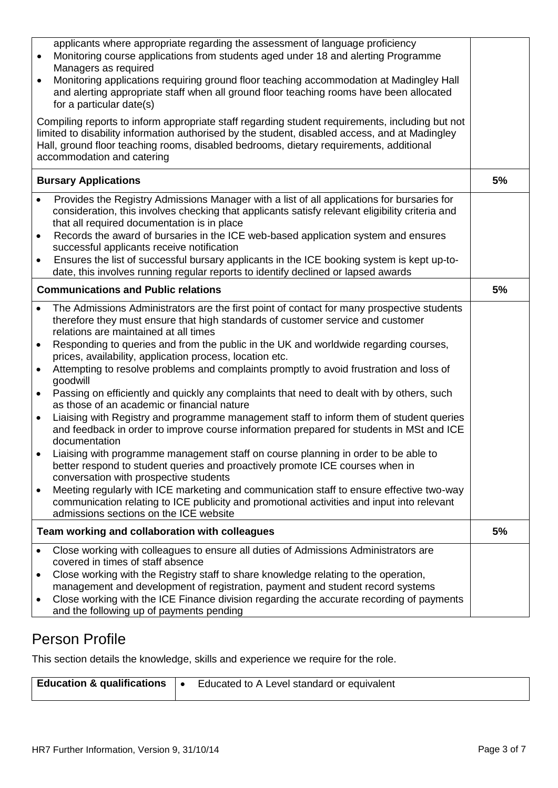| applicants where appropriate regarding the assessment of language proficiency<br>Monitoring course applications from students aged under 18 and alerting Programme<br>Managers as required<br>Monitoring applications requiring ground floor teaching accommodation at Madingley Hall<br>and alerting appropriate staff when all ground floor teaching rooms have been allocated<br>for a particular date(s)<br>Compiling reports to inform appropriate staff regarding student requirements, including but not<br>limited to disability information authorised by the student, disabled access, and at Madingley<br>Hall, ground floor teaching rooms, disabled bedrooms, dietary requirements, additional<br>accommodation and catering |                                                                                                                                                                                                                                                                                                                                                                                                                                                                                                                                                                     |    |
|-------------------------------------------------------------------------------------------------------------------------------------------------------------------------------------------------------------------------------------------------------------------------------------------------------------------------------------------------------------------------------------------------------------------------------------------------------------------------------------------------------------------------------------------------------------------------------------------------------------------------------------------------------------------------------------------------------------------------------------------|---------------------------------------------------------------------------------------------------------------------------------------------------------------------------------------------------------------------------------------------------------------------------------------------------------------------------------------------------------------------------------------------------------------------------------------------------------------------------------------------------------------------------------------------------------------------|----|
|                                                                                                                                                                                                                                                                                                                                                                                                                                                                                                                                                                                                                                                                                                                                           | <b>Bursary Applications</b>                                                                                                                                                                                                                                                                                                                                                                                                                                                                                                                                         | 5% |
| $\bullet$<br>$\bullet$                                                                                                                                                                                                                                                                                                                                                                                                                                                                                                                                                                                                                                                                                                                    | Provides the Registry Admissions Manager with a list of all applications for bursaries for<br>consideration, this involves checking that applicants satisfy relevant eligibility criteria and<br>that all required documentation is in place<br>Records the award of bursaries in the ICE web-based application system and ensures<br>successful applicants receive notification<br>Ensures the list of successful bursary applicants in the ICE booking system is kept up-to-<br>date, this involves running regular reports to identify declined or lapsed awards |    |
|                                                                                                                                                                                                                                                                                                                                                                                                                                                                                                                                                                                                                                                                                                                                           | <b>Communications and Public relations</b>                                                                                                                                                                                                                                                                                                                                                                                                                                                                                                                          | 5% |
| $\bullet$                                                                                                                                                                                                                                                                                                                                                                                                                                                                                                                                                                                                                                                                                                                                 | The Admissions Administrators are the first point of contact for many prospective students<br>therefore they must ensure that high standards of customer service and customer<br>relations are maintained at all times<br>Responding to queries and from the public in the UK and worldwide regarding courses,<br>prices, availability, application process, location etc.                                                                                                                                                                                          |    |
| $\bullet$<br>$\bullet$                                                                                                                                                                                                                                                                                                                                                                                                                                                                                                                                                                                                                                                                                                                    | Attempting to resolve problems and complaints promptly to avoid frustration and loss of<br>goodwill<br>Passing on efficiently and quickly any complaints that need to dealt with by others, such                                                                                                                                                                                                                                                                                                                                                                    |    |
| $\bullet$                                                                                                                                                                                                                                                                                                                                                                                                                                                                                                                                                                                                                                                                                                                                 | as those of an academic or financial nature<br>Liaising with Registry and programme management staff to inform them of student queries<br>and feedback in order to improve course information prepared for students in MSt and ICE<br>documentation                                                                                                                                                                                                                                                                                                                 |    |
|                                                                                                                                                                                                                                                                                                                                                                                                                                                                                                                                                                                                                                                                                                                                           | Liaising with programme management staff on course planning in order to be able to<br>better respond to student queries and proactively promote ICE courses when in<br>conversation with prospective students                                                                                                                                                                                                                                                                                                                                                       |    |
| $\bullet$                                                                                                                                                                                                                                                                                                                                                                                                                                                                                                                                                                                                                                                                                                                                 | Meeting regularly with ICE marketing and communication staff to ensure effective two-way<br>communication relating to ICE publicity and promotional activities and input into relevant<br>admissions sections on the ICE website                                                                                                                                                                                                                                                                                                                                    |    |
|                                                                                                                                                                                                                                                                                                                                                                                                                                                                                                                                                                                                                                                                                                                                           | Team working and collaboration with colleagues                                                                                                                                                                                                                                                                                                                                                                                                                                                                                                                      | 5% |
| $\bullet$<br>٠<br>$\bullet$                                                                                                                                                                                                                                                                                                                                                                                                                                                                                                                                                                                                                                                                                                               | Close working with colleagues to ensure all duties of Admissions Administrators are<br>covered in times of staff absence<br>Close working with the Registry staff to share knowledge relating to the operation,<br>management and development of registration, payment and student record systems<br>Close working with the ICE Finance division regarding the accurate recording of payments<br>and the following up of payments pending                                                                                                                           |    |

#### Person Profile

This section details the knowledge, skills and experience we require for the role.

| <b>Education &amp; qualifications</b> | Educated to A Level standard or equivalent |
|---------------------------------------|--------------------------------------------|
|                                       |                                            |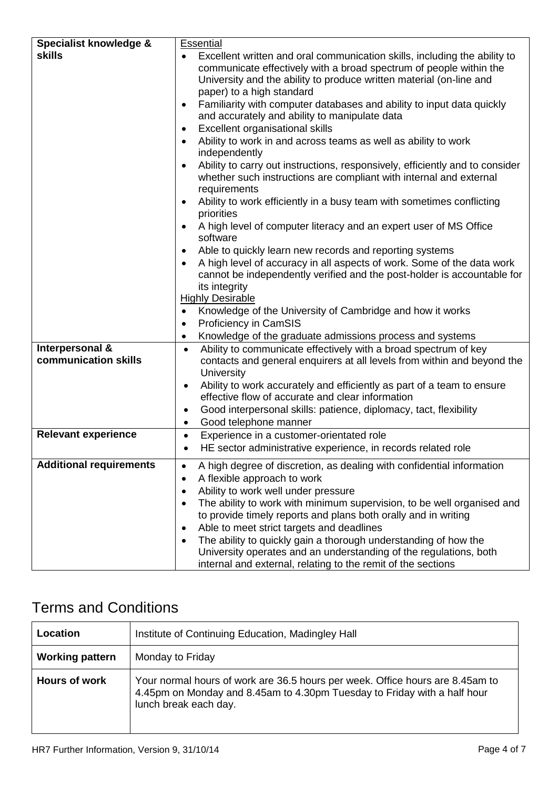| Specialist knowledge &         | <b>Essential</b>                                                                       |
|--------------------------------|----------------------------------------------------------------------------------------|
| <b>skills</b>                  | Excellent written and oral communication skills, including the ability to<br>$\bullet$ |
|                                | communicate effectively with a broad spectrum of people within the                     |
|                                |                                                                                        |
|                                | University and the ability to produce written material (on-line and                    |
|                                | paper) to a high standard                                                              |
|                                | Familiarity with computer databases and ability to input data quickly<br>$\bullet$     |
|                                | and accurately and ability to manipulate data                                          |
|                                | Excellent organisational skills<br>$\bullet$                                           |
|                                | Ability to work in and across teams as well as ability to work                         |
|                                | independently                                                                          |
|                                |                                                                                        |
|                                | Ability to carry out instructions, responsively, efficiently and to consider           |
|                                | whether such instructions are compliant with internal and external                     |
|                                | requirements                                                                           |
|                                | Ability to work efficiently in a busy team with sometimes conflicting                  |
|                                | priorities                                                                             |
|                                | A high level of computer literacy and an expert user of MS Office                      |
|                                | software                                                                               |
|                                | Able to quickly learn new records and reporting systems                                |
|                                |                                                                                        |
|                                | A high level of accuracy in all aspects of work. Some of the data work                 |
|                                | cannot be independently verified and the post-holder is accountable for                |
|                                | its integrity                                                                          |
|                                | <b>Highly Desirable</b>                                                                |
|                                | Knowledge of the University of Cambridge and how it works<br>$\bullet$                 |
|                                | Proficiency in CamSIS<br>$\bullet$                                                     |
|                                | Knowledge of the graduate admissions process and systems<br>$\bullet$                  |
| Interpersonal &                | Ability to communicate effectively with a broad spectrum of key<br>$\bullet$           |
| communication skills           |                                                                                        |
|                                | contacts and general enquirers at all levels from within and beyond the                |
|                                | University                                                                             |
|                                | Ability to work accurately and efficiently as part of a team to ensure<br>$\bullet$    |
|                                | effective flow of accurate and clear information                                       |
|                                | Good interpersonal skills: patience, diplomacy, tact, flexibility<br>٠                 |
|                                | Good telephone manner<br>$\bullet$                                                     |
| <b>Relevant experience</b>     | Experience in a customer-orientated role<br>$\bullet$                                  |
|                                | HE sector administrative experience, in records related role<br>$\bullet$              |
|                                |                                                                                        |
| <b>Additional requirements</b> | A high degree of discretion, as dealing with confidential information                  |
|                                | A flexible approach to work                                                            |
|                                | Ability to work well under pressure                                                    |
|                                | The ability to work with minimum supervision, to be well organised and                 |
|                                |                                                                                        |
|                                | to provide timely reports and plans both orally and in writing                         |
|                                | Able to meet strict targets and deadlines                                              |
|                                | The ability to quickly gain a thorough understanding of how the                        |
|                                | University operates and an understanding of the regulations, both                      |
|                                | internal and external, relating to the remit of the sections                           |

# Terms and Conditions

| Location               | Institute of Continuing Education, Madingley Hall                                                                                                                                  |
|------------------------|------------------------------------------------------------------------------------------------------------------------------------------------------------------------------------|
| <b>Working pattern</b> | Monday to Friday                                                                                                                                                                   |
| <b>Hours of work</b>   | Your normal hours of work are 36.5 hours per week. Office hours are 8.45am to<br>4.45pm on Monday and 8.45am to 4.30pm Tuesday to Friday with a half hour<br>lunch break each day. |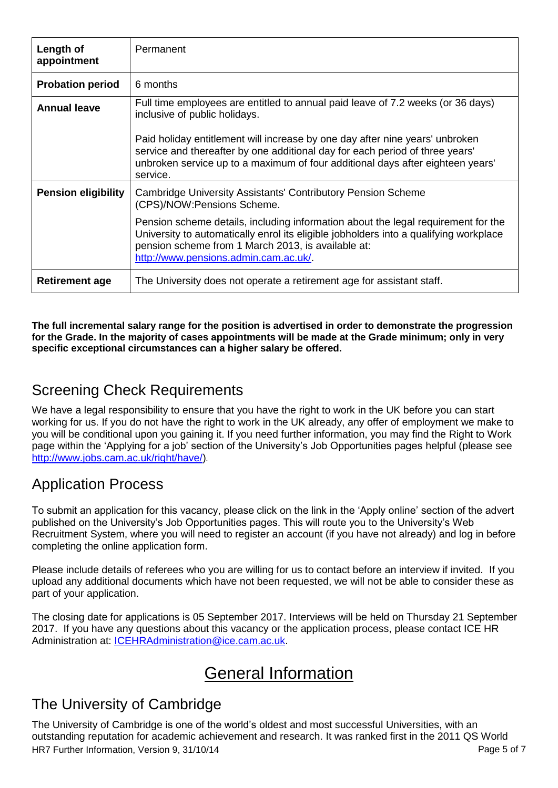| Length of<br>appointment   | Permanent                                                                                                                                                                                                                                                                 |
|----------------------------|---------------------------------------------------------------------------------------------------------------------------------------------------------------------------------------------------------------------------------------------------------------------------|
| <b>Probation period</b>    | 6 months                                                                                                                                                                                                                                                                  |
| <b>Annual leave</b>        | Full time employees are entitled to annual paid leave of 7.2 weeks (or 36 days)<br>inclusive of public holidays.                                                                                                                                                          |
|                            | Paid holiday entitlement will increase by one day after nine years' unbroken<br>service and thereafter by one additional day for each period of three years'<br>unbroken service up to a maximum of four additional days after eighteen years'<br>service.                |
| <b>Pension eligibility</b> | <b>Cambridge University Assistants' Contributory Pension Scheme</b><br>(CPS)/NOW: Pensions Scheme.                                                                                                                                                                        |
|                            | Pension scheme details, including information about the legal requirement for the<br>University to automatically enrol its eligible jobholders into a qualifying workplace<br>pension scheme from 1 March 2013, is available at:<br>http://www.pensions.admin.cam.ac.uk/. |
| <b>Retirement age</b>      | The University does not operate a retirement age for assistant staff.                                                                                                                                                                                                     |

**The full incremental salary range for the position is advertised in order to demonstrate the progression for the Grade. In the majority of cases appointments will be made at the Grade minimum; only in very specific exceptional circumstances can a higher salary be offered.**

### Screening Check Requirements

We have a legal responsibility to ensure that you have the right to work in the UK before you can start working for us. If you do not have the right to work in the UK already, any offer of employment we make to you will be conditional upon you gaining it. If you need further information, you may find the Right to Work page within the 'Applying for a job' section of the University's Job Opportunities pages helpful (please see [http://www.jobs.cam.ac.uk/right/have/\)](http://www.jobs.cam.ac.uk/right/have/)*.* 

### Application Process

To submit an application for this vacancy, please click on the link in the 'Apply online' section of the advert published on the University's Job Opportunities pages. This will route you to the University's Web Recruitment System, where you will need to register an account (if you have not already) and log in before completing the online application form.

Please include details of referees who you are willing for us to contact before an interview if invited. If you upload any additional documents which have not been requested, we will not be able to consider these as part of your application.

The closing date for applications is 05 September 2017. Interviews will be held on Thursday 21 September 2017. If you have any questions about this vacancy or the application process, please contact ICE HR Administration at: [ICEHRAdministration@ice.cam.ac.uk.](mailto:ICEHRAdministration@ice.cam.ac.uk)

# General Information

### The University of Cambridge

HR7 Further Information, Version 9, 31/10/14 **Page 5 of 7** and 2011 12:00 and 2012 12:00 Page 5 of 7 The University of Cambridge is one of the world's oldest and most successful Universities, with an outstanding reputation for academic achievement and research. It was ranked first in the 2011 QS World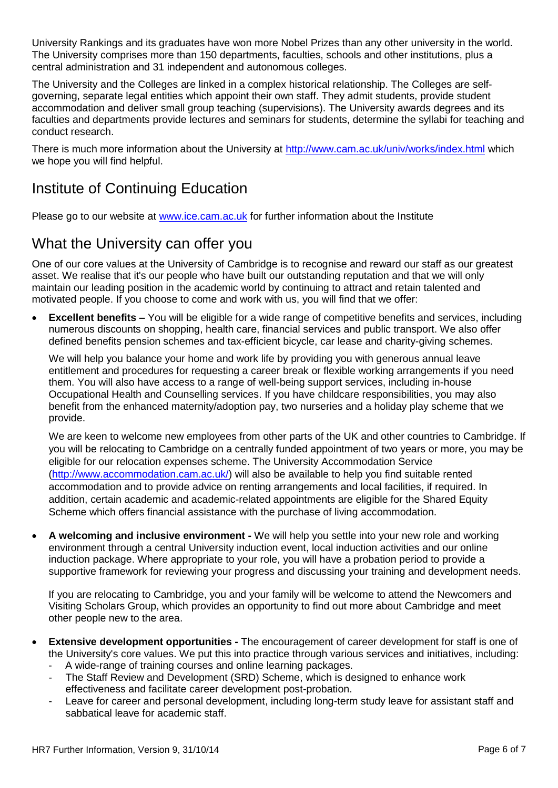University Rankings and its graduates have won more Nobel Prizes than any other university in the world. The University comprises more than 150 departments, faculties, schools and other institutions, plus a central administration and 31 independent and autonomous colleges.

The University and the Colleges are linked in a complex historical relationship. The Colleges are selfgoverning, separate legal entities which appoint their own staff. They admit students, provide student accommodation and deliver small group teaching (supervisions). The University awards degrees and its faculties and departments provide lectures and seminars for students, determine the syllabi for teaching and conduct research.

There is much more information about the University at <http://www.cam.ac.uk/univ/works/index.html> which we hope you will find helpful.

### Institute of Continuing Education

Please go to our website at [www.ice.cam.ac.uk](http://www.ice.cam.ac.uk/) for further information about the Institute

#### What the University can offer you

One of our core values at the University of Cambridge is to recognise and reward our staff as our greatest asset. We realise that it's our people who have built our outstanding reputation and that we will only maintain our leading position in the academic world by continuing to attract and retain talented and motivated people. If you choose to come and work with us, you will find that we offer:

**Excellent benefits –** You will be eligible for a wide range of competitive benefits and services, including numerous discounts on shopping, health care, financial services and public transport. We also offer defined benefits pension schemes and tax-efficient bicycle, car lease and charity-giving schemes.

We will help you balance your home and work life by providing you with generous annual leave entitlement and procedures for requesting a career break or flexible working arrangements if you need them. You will also have access to a range of well-being support services, including in-house Occupational Health and Counselling services. If you have childcare responsibilities, you may also benefit from the enhanced maternity/adoption pay, two nurseries and a holiday play scheme that we provide.

We are keen to welcome new employees from other parts of the UK and other countries to Cambridge. If you will be relocating to Cambridge on a centrally funded appointment of two years or more, you may be eligible for our relocation expenses scheme. The University [Accommodation Service](http://www.admin.cam.ac.uk/offices/accommodation/) [\(http://www.accommodation.cam.ac.uk/\)](http://www.accommodation.cam.ac.uk/) will also be available to help you find suitable rented accommodation and to provide advice on renting arrangements and local facilities, if required. In addition, certain academic and academic-related appointments are eligible for the Shared Equity Scheme which offers financial assistance with the purchase of living accommodation.

 **A welcoming and inclusive environment -** We will help you settle into your new role and working environment through a central [University induction event,](http://www.admin.cam.ac.uk/offices/hr/staff/new/probation.html) local induction activities and our online induction package. Where appropriate to your role, you will have a probation period to provide a supportive framework for reviewing your progress and discussing your training and development needs.

If you are relocating to Cambridge, you and your family will be welcome to attend the Newcomers and Visiting Scholars Group, which provides an opportunity to find out more about Cambridge and meet other people new to the area.

- **Extensive development opportunities -** The encouragement of career development for staff is one of the University's core values. We put this into practice through various services and initiatives, including:
	- A [wide-range of training courses](http://www.training.cam.ac.uk/) and online learning packages.
	- The [Staff Review and Development \(SRD\) Scheme,](http://www.admin.cam.ac.uk/offices/hr/policy/appraisal/) which is designed to enhance work effectiveness and facilitate career development post-probation.
	- [Leave for career and personal development,](http://www.admin.cam.ac.uk/offices/hr/staff/benefits/careers.html) including long-term study leave for assistant staff and sabbatical leave for academic staff.